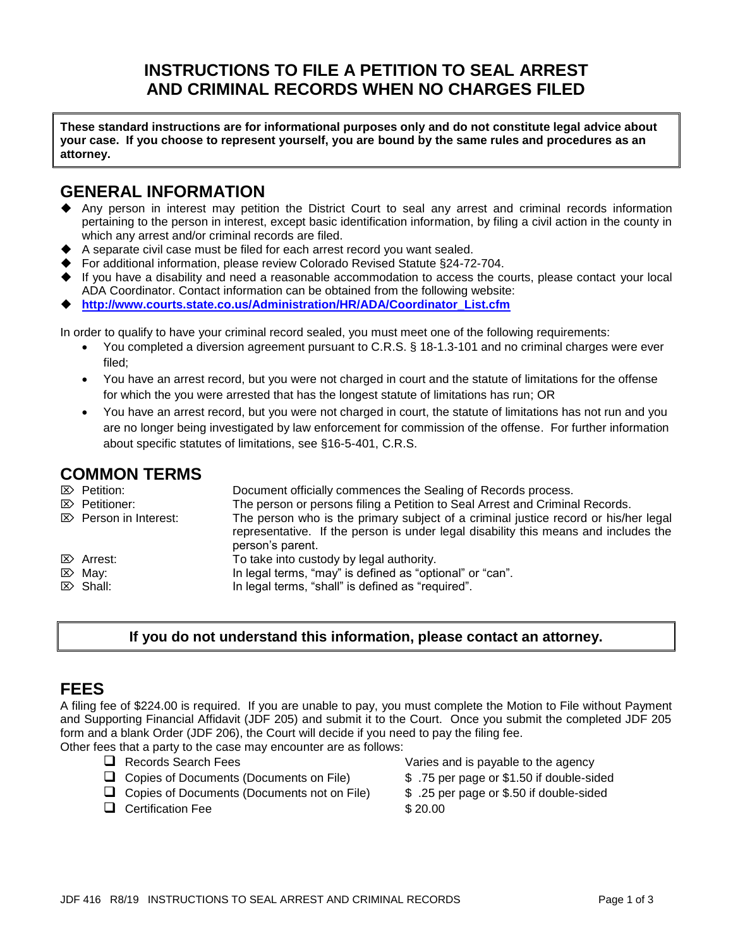## **INSTRUCTIONS TO FILE A PETITION TO SEAL ARREST AND CRIMINAL RECORDS WHEN NO CHARGES FILED**

**These standard instructions are for informational purposes only and do not constitute legal advice about your case. If you choose to represent yourself, you are bound by the same rules and procedures as an attorney.**

## **GENERAL INFORMATION**

- ◆ Any person in interest may petition the District Court to seal any arrest and criminal records information pertaining to the person in interest, except basic identification information, by filing a civil action in the county in which any arrest and/or criminal records are filed.
- A separate civil case must be filed for each arrest record you want sealed.
- For additional information, please review Colorado Revised Statute §24-72-704.
- If you have a disability and need a reasonable accommodation to access the courts, please contact your local ADA Coordinator. Contact information can be obtained from the following website:
- ◆ **[http://www.courts.state.co.us/Administration/HR/ADA/Coordinator\\_List.cfm](http://www.courts.state.co.us/Administration/HR/ADA/Coordinator_List.cfm)**

In order to qualify to have your criminal record sealed, you must meet one of the following requirements:

- You completed a diversion agreement pursuant to C.R.S. § 18-1.3-101 and no criminal charges were ever filed;
- You have an arrest record, but you were not charged in court and the statute of limitations for the offense for which the you were arrested that has the longest statute of limitations has run; OR
- You have an arrest record, but you were not charged in court, the statute of limitations has not run and you are no longer being investigated by law enforcement for commission of the offense. For further information about specific statutes of limitations, see §16-5-401, C.R.S.

## **COMMON TERMS**

| $\mathbb{Z}$ Petition:<br>$\mathbb{Z}$ Petitioner: | Document officially commences the Sealing of Records process.<br>The person or persons filing a Petition to Seal Arrest and Criminal Records.                                                  |
|----------------------------------------------------|------------------------------------------------------------------------------------------------------------------------------------------------------------------------------------------------|
| $\mathbb{Z}$ Person in Interest:                   | The person who is the primary subject of a criminal justice record or his/her legal<br>representative. If the person is under legal disability this means and includes the<br>person's parent. |
| $\mathbb{Z}$ Arrest:                               | To take into custody by legal authority.                                                                                                                                                       |
| $\mathbb{Z}$ May:                                  | In legal terms, "may" is defined as "optional" or "can".                                                                                                                                       |
| $\mathbb{Z}$ Shall:                                | In legal terms, "shall" is defined as "required".                                                                                                                                              |

### **If you do not understand this information, please contact an attorney.**

### **FEES**

A filing fee of \$224.00 is required. If you are unable to pay, you must complete the Motion to File without Payment and Supporting Financial Affidavit (JDF 205) and submit it to the Court. Once you submit the completed JDF 205 form and a blank Order (JDF 206), the Court will decide if you need to pay the filing fee.

Other fees that a party to the case may encounter are as follows:

- 
- ❑ Copies of Documents (Documents on File) \$ .75 per page or \$1.50 if double-sided
- ❑ Copies of Documents (Documents not on File) \$ .25 per page or \$.50 if double-sided
- □ Certification Fee \$ 20.00
- ❑ Records Search Fees Varies and is payable to the agency
	-
	-
	-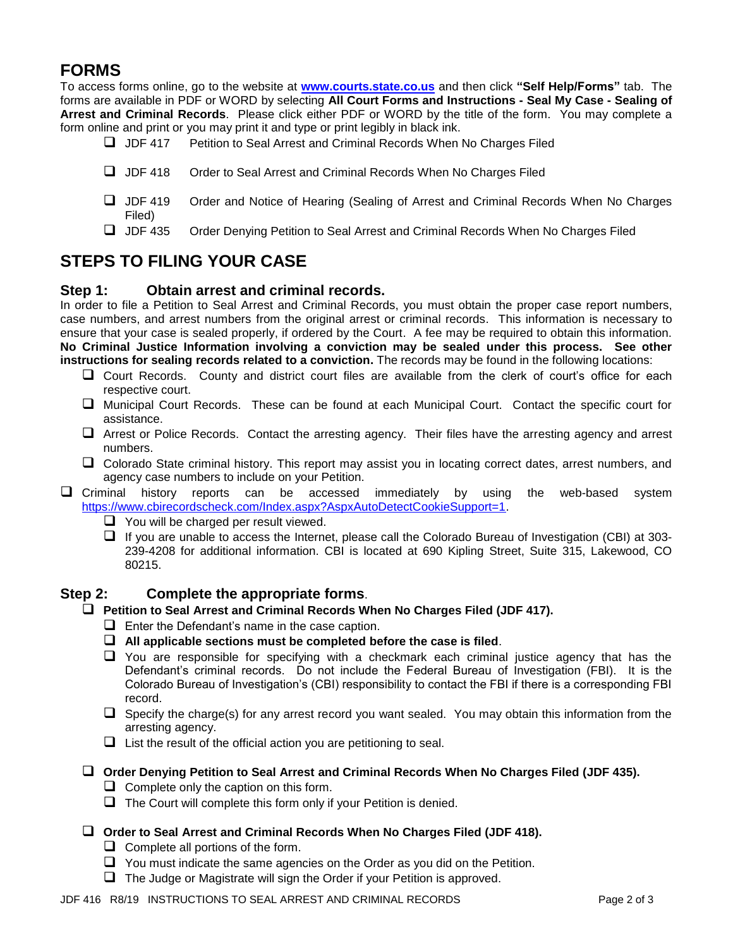# **FORMS**

To access forms online, go to the website at **[www.courts.state.co.us](http://www.courts.state.co.us/)** and then click **"Self Help/Forms"** tab. The forms are available in PDF or WORD by selecting **All Court Forms and Instructions - Seal My Case - Sealing of Arrest and Criminal Records**. Please click either PDF or WORD by the title of the form. You may complete a form online and print or you may print it and type or print legibly in black ink.

- ❑ JDF 417 Petition to Seal Arrest and Criminal Records When No Charges Filed
- ❑ JDF 418 Order to Seal Arrest and Criminal Records When No Charges Filed
- ❑ JDF 419 Order and Notice of Hearing (Sealing of Arrest and Criminal Records When No Charges Filed)
- ❑ JDF 435 Order Denying Petition to Seal Arrest and Criminal Records When No Charges Filed

# **STEPS TO FILING YOUR CASE**

#### **Step 1: Obtain arrest and criminal records.**

In order to file a Petition to Seal Arrest and Criminal Records, you must obtain the proper case report numbers, case numbers, and arrest numbers from the original arrest or criminal records. This information is necessary to ensure that your case is sealed properly, if ordered by the Court. A fee may be required to obtain this information. **No Criminal Justice Information involving a conviction may be sealed under this process. See other instructions for sealing records related to a conviction.** The records may be found in the following locations:

- ❑ Court Records. County and district court files are available from the clerk of court's office for each respective court.
- ❑ Municipal Court Records. These can be found at each Municipal Court. Contact the specific court for assistance.
- ❑ Arrest or Police Records. Contact the arresting agency. Their files have the arresting agency and arrest numbers.
- ❑ Colorado State criminal history. This report may assist you in locating correct dates, arrest numbers, and agency case numbers to include on your Petition.
- ❑ Criminal history reports can be accessed immediately by using the web-based system [https://www.cbirecordscheck.com/Index.aspx?AspxAutoDetectCookieSupport=1.](https://www.cbirecordscheck.com/Index.aspx?AspxAutoDetectCookieSupport=1)
	- ❑ You will be charged per result viewed.
	- ❑ If you are unable to access the Internet, please call the Colorado Bureau of Investigation (CBI) at 303- 239-4208 for additional information. CBI is located at 690 Kipling Street, Suite 315, Lakewood, CO 80215.

#### **Step 2: Complete the appropriate forms**.

- ❑ **Petition to Seal Arrest and Criminal Records When No Charges Filed (JDF 417).**
	- $\Box$  Enter the Defendant's name in the case caption.
	- ❑ **All applicable sections must be completed before the case is filed**.
	- ❑ You are responsible for specifying with a checkmark each criminal justice agency that has the Defendant's criminal records. Do not include the Federal Bureau of Investigation (FBI). It is the Colorado Bureau of Investigation's (CBI) responsibility to contact the FBI if there is a corresponding FBI record.
	- $\Box$  Specify the charge(s) for any arrest record you want sealed. You may obtain this information from the arresting agency.
	- $\Box$  List the result of the official action you are petitioning to seal.
- ❑ **Order Denying Petition to Seal Arrest and Criminal Records When No Charges Filed (JDF 435).**
	- $\Box$  Complete only the caption on this form.
	- $\Box$  The Court will complete this form only if your Petition is denied.
- ❑ **Order to Seal Arrest and Criminal Records When No Charges Filed (JDF 418).** 
	- $\Box$  Complete all portions of the form.
	- ❑ You must indicate the same agencies on the Order as you did on the Petition.
	- ❑ The Judge or Magistrate will sign the Order if your Petition is approved.